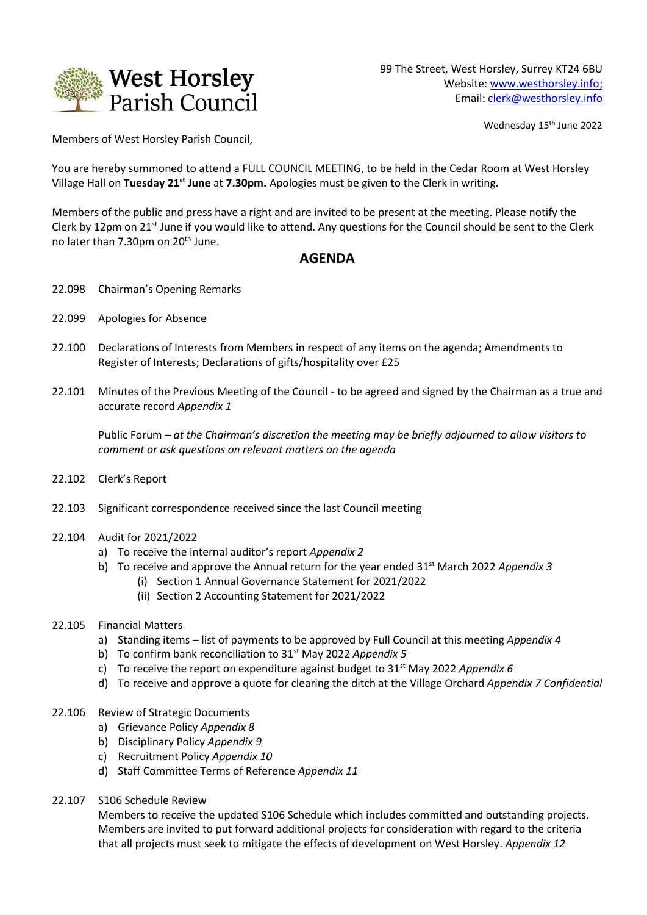

99 The Street, West Horsley, Surrey KT24 6BU Website: [www.westhorsley.info;](http://www.westhorsley.info/) Email: [clerk@westhorsley.info](mailto:clerk@westhorsley.info)

Wednesday 15<sup>th</sup> June 2022

Members of West Horsley Parish Council,

You are hereby summoned to attend a FULL COUNCIL MEETING, to be held in the Cedar Room at West Horsley Village Hall on **Tuesday 21st June** at **7.30pm.** Apologies must be given to the Clerk in writing.

Members of the public and press have a right and are invited to be present at the meeting. Please notify the Clerk by 12pm on 21<sup>st</sup> June if you would like to attend. Any questions for the Council should be sent to the Clerk no later than 7.30pm on 20<sup>th</sup> June.

## **AGENDA**

- 22.098 Chairman's Opening Remarks
- 22.099 Apologies for Absence
- 22.100 Declarations of Interests from Members in respect of any items on the agenda; Amendments to Register of Interests; Declarations of gifts/hospitality over £25
- 22.101 Minutes of the Previous Meeting of the Council *-* to be agreed and signed by the Chairman as a true and accurate record *Appendix 1*

Public Forum *– at the Chairman's discretion the meeting may be briefly adjourned to allow visitors to comment or ask questions on relevant matters on the agenda*

- 22.102 Clerk's Report
- 22.103 Significant correspondence received since the last Council meeting
- 22.104 Audit for 2021/2022
	- a) To receive the internal auditor's report *Appendix 2*
	- b) To receive and approve the Annual return for the year ended 31<sup>st</sup> March 2022 *Appendix 3* 
		- (i) Section 1 Annual Governance Statement for 2021/2022
		- (ii) Section 2 Accounting Statement for 2021/2022
- 22.105 Financial Matters
	- a) Standing items list of payments to be approved by Full Council at this meeting *Appendix 4*
	- b) To confirm bank reconciliation to 31st May 2022 *Appendix 5*
	- c) To receive the report on expenditure against budget to  $31^{st}$  May 2022 *Appendix 6*
	- d) To receive and approve a quote for clearing the ditch at the Village Orchard *Appendix 7 Confidential*
- 22.106 Review of Strategic Documents
	- a) Grievance Policy *Appendix 8*
	- b) Disciplinary Policy *Appendix 9*
	- c) Recruitment Policy *Appendix 10*
	- d) Staff Committee Terms of Reference *Appendix 11*
- 22.107 S106 Schedule Review

Members to receive the updated S106 Schedule which includes committed and outstanding projects. Members are invited to put forward additional projects for consideration with regard to the criteria that all projects must seek to mitigate the effects of development on West Horsley. *Appendix 12*